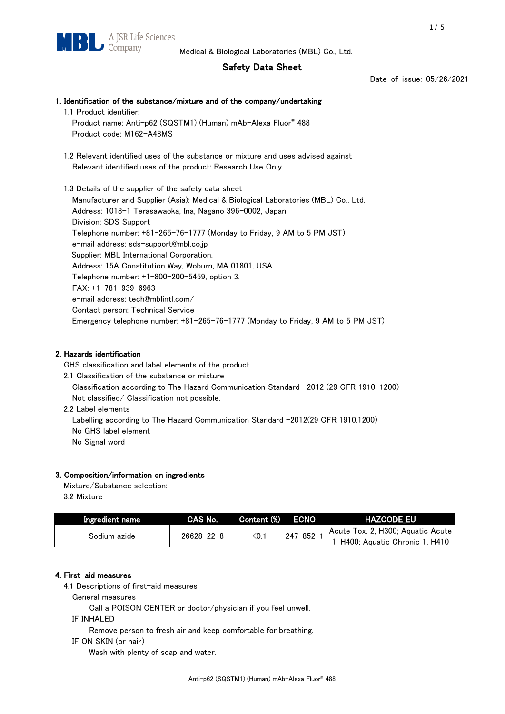## Safety Data Sheet

Date of issue: 05/26/2021

# 1. Identification of the substance/mixture and of the company/undertaking 1.1 Product identifier: Product name: Anti-p62 (SQSTM1) (Human) mAb-Alexa Fluor® 488 Product code: M162-A48MS 1.2 Relevant identified uses of the substance or mixture and uses advised against Relevant identified uses of the product: Research Use Only 1.3 Details of the supplier of the safety data sheet

Manufacturer and Supplier (Asia): Medical & Biological Laboratories (MBL) Co., Ltd. Address: 1018-1 Terasawaoka, Ina, Nagano 396-0002, Japan Division: SDS Support Telephone number: +81-265-76-1777 (Monday to Friday, 9 AM to 5 PM JST) e-mail address: sds-support@mbl.co.jp Supplier: MBL International Corporation. Address: 15A Constitution Way, Woburn, MA 01801, USA Telephone number: +1-800-200-5459, option 3. FAX: +1-781-939-6963 e-mail address: tech@mblintl.com/ Contact person: Technical Service Emergency telephone number: +81-265-76-1777 (Monday to Friday, 9 AM to 5 PM JST)

## 2. Hazards identification

GHS classification and label elements of the product

- 2.1 Classification of the substance or mixture Classification according to The Hazard Communication Standard -2012 (29 CFR 1910. 1200) Not classified/ Classification not possible.
- 2.2 Label elements

Labelling according to The Hazard Communication Standard -2012(29 CFR 1910.1200) No GHS label element No Signal word

## 3. Composition/information on ingredients

Mixture/Substance selection:  $2.2 M$ 

| 3.2 MIXTURE |  |
|-------------|--|
|             |  |
|             |  |

| Ingredient name | CAS No.          | Content (%) ECNO |                 | <b>HAZCODE EU</b>                                                     |
|-----------------|------------------|------------------|-----------------|-----------------------------------------------------------------------|
| Sodium azide    | $26628 - 22 - 8$ | $<$ 0.1          | $247 - 852 - 1$ | Acute Tox. 2, H300; Aquatic Acute<br>1, H400; Aquatic Chronic 1, H410 |

## 4. First-aid measures

4.1 Descriptions of first-aid measures

General measures

Call a POISON CENTER or doctor/physician if you feel unwell.

IF INHALED

Remove person to fresh air and keep comfortable for breathing.

IF ON SKIN (or hair)

Wash with plenty of soap and water.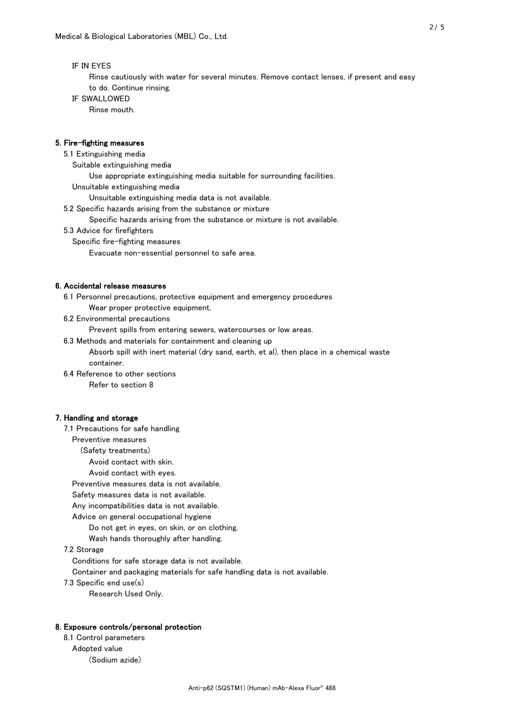#### IF IN EYES

 Rinse cautiously with water for several minutes. Remove contact lenses, if present and easy to do. Continue rinsing.

IF SWALLOWED

Rinse mouth.

#### 5. Fire-fighting measures

5.1 Extinguishing media

Suitable extinguishing media

Use appropriate extinguishing media suitable for surrounding facilities.

Unsuitable extinguishing media

Unsuitable extinguishing media data is not available.

5.2 Specific hazards arising from the substance or mixture

Specific hazards arising from the substance or mixture is not available.

- 5.3 Advice for firefighters
	- Specific fire-fighting measures
		- Evacuate non-essential personnel to safe area.

#### 6. Accidental release measures

- 6.1 Personnel precautions, protective equipment and emergency procedures
	- Wear proper protective equipment.
- 6.2 Environmental precautions

Prevent spills from entering sewers, watercourses or low areas.

6.3 Methods and materials for containment and cleaning up

 Absorb spill with inert material (dry sand, earth, et al), then place in a chemical waste container.

6.4 Reference to other sections

Refer to section 8

#### 7. Handling and storage

7.1 Precautions for safe handling

Preventive measures

(Safety treatments)

Avoid contact with skin.

Avoid contact with eyes.

Preventive measures data is not available.

Safety measures data is not available.

Any incompatibilities data is not available.

- Advice on general occupational hygiene
	- Do not get in eyes, on skin, or on clothing.
	- Wash hands thoroughly after handling.

#### 7.2 Storage

Conditions for safe storage data is not available.

Container and packaging materials for safe handling data is not available.

- 7.3 Specific end use(s)
	- Research Used Only.

#### 8. Exposure controls/personal protection

 8.1 Control parameters Adopted value (Sodium azide)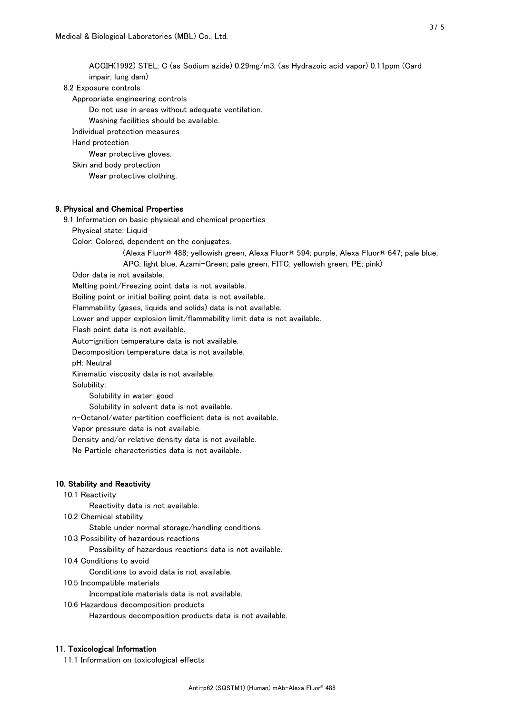ACGIH(1992) STEL: C (as Sodium azide) 0.29mg/m3; (as Hydrazoic acid vapor) 0.11ppm (Card impair; lung dam) 8.2 Exposure controls Appropriate engineering controls Do not use in areas without adequate ventilation. Washing facilities should be available. Individual protection measures Hand protection Wear protective gloves. Skin and body protection Wear protective clothing. 9. Physical and Chemical Properties 9.1 Information on basic physical and chemical properties Physical state: Liquid Color: Colored, dependent on the conjugates. (Alexa Fluor® 488; yellowish green, Alexa Fluor® 594; purple, Alexa Fluor® 647; pale blue, APC; light blue, Azami-Green; pale green, FITC; yellowish green, PE; pink) Odor data is not available. Melting point/Freezing point data is not available. Boiling point or initial boiling point data is not available. Flammability (gases, liquids and solids) data is not available. Lower and upper explosion limit/flammability limit data is not available. Flash point data is not available. Auto-ignition temperature data is not available.

Decomposition temperature data is not available.

pH: Neutral

Kinematic viscosity data is not available.

Solubility:

Solubility in water: good

Solubility in solvent data is not available.

n-Octanol/water partition coefficient data is not available.

Vapor pressure data is not available.

Density and/or relative density data is not available.

No Particle characteristics data is not available.

#### 10. Stability and Reactivity

10.1 Reactivity

Reactivity data is not available.

10.2 Chemical stability

Stable under normal storage/handling conditions.

10.3 Possibility of hazardous reactions

Possibility of hazardous reactions data is not available.

10.4 Conditions to avoid

Conditions to avoid data is not available.

10.5 Incompatible materials

Incompatible materials data is not available.

10.6 Hazardous decomposition products

Hazardous decomposition products data is not available.

#### 11. Toxicological Information

11.1 Information on toxicological effects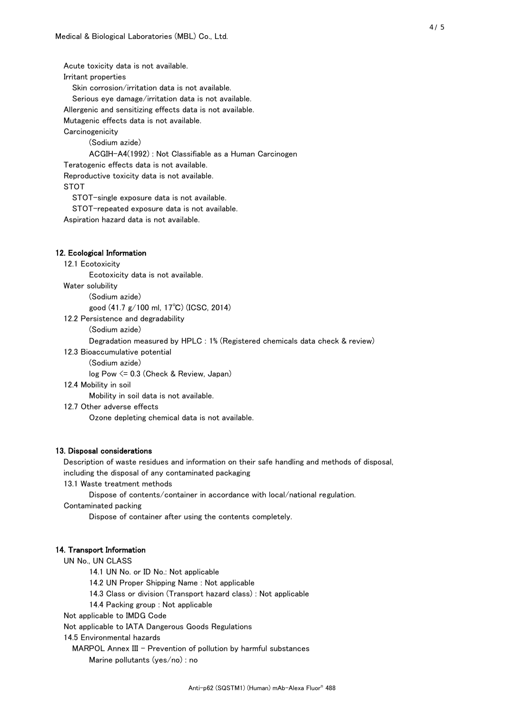Acute toxicity data is not available. Irritant properties Skin corrosion/irritation data is not available. Serious eye damage/irritation data is not available. Allergenic and sensitizing effects data is not available. Mutagenic effects data is not available. **Carcinogenicity**  (Sodium azide) ACGIH-A4(1992) : Not Classifiable as a Human Carcinogen Teratogenic effects data is not available. Reproductive toxicity data is not available. STOT STOT-single exposure data is not available. STOT-repeated exposure data is not available. Aspiration hazard data is not available.

#### 12. Ecological Information

#### 12.1 Ecotoxicity

Ecotoxicity data is not available.

Water solubility

(Sodium azide)

good (41.7 g/100 ml, 17℃) (ICSC, 2014)

- 12.2 Persistence and degradability
	- (Sodium azide)

Degradation measured by HPLC : 1% (Registered chemicals data check & review)

12.3 Bioaccumulative potential

(Sodium azide)

log Pow <= 0.3 (Check & Review, Japan)

12.4 Mobility in soil

Mobility in soil data is not available.

12.7 Other adverse effects

Ozone depleting chemical data is not available.

#### 13. Disposal considerations

 Description of waste residues and information on their safe handling and methods of disposal, including the disposal of any contaminated packaging

13.1 Waste treatment methods

Dispose of contents/container in accordance with local/national regulation.

Contaminated packing

Dispose of container after using the contents completely.

#### 14. Transport Information

UN No., UN CLASS

14.1 UN No. or ID No.: Not applicable

14.2 UN Proper Shipping Name : Not applicable

14.3 Class or division (Transport hazard class) : Not applicable

14.4 Packing group : Not applicable

Not applicable to IMDG Code

Not applicable to IATA Dangerous Goods Regulations

14.5 Environmental hazards

MARPOL Annex III - Prevention of pollution by harmful substances

Marine pollutants (yes/no) : no